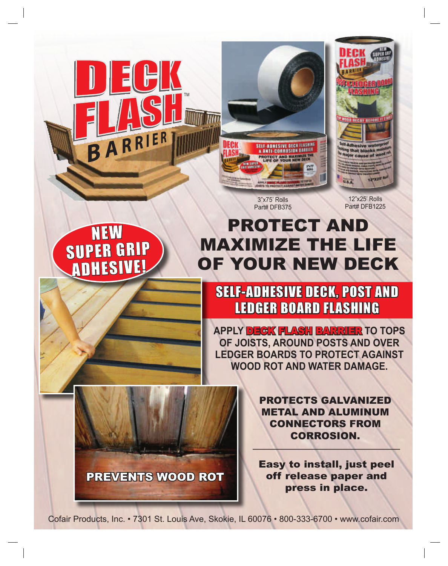



**I'll that blocks** major cause of w 12"X25

> 12"x25' Rolls Part# DFB1225

3"x75' Rolls Part# DFB375

## NEW SUPER GRIP ADHESIVE!



PREVENTS WOOD ROT

## SELF-ADHESIVE DECK, POST AND LEDGER BOARD FLASHING

PROTECT AND

MAXIMIZE THE LIFE

OF YOUR NEW DECK

**APPLY** DECK FLASH BARRIER **TO TOPS OF JOISTS, AROUND POSTS AND OVER LEDGER BOARDS TO PROTECT AGAINST WOOD ROT AND WATER DAMAGE.** 

> PROTECTS GALVANIZED METAL AND ALUMINUM CONNECTORS FROM CORROSION.

Easy to install, just peel off release paper and press in place.

Cofair Products, Inc. • 7301 St. Louis Ave, Skokie, IL 60076 • 800-333-6700 • www.cofair.com